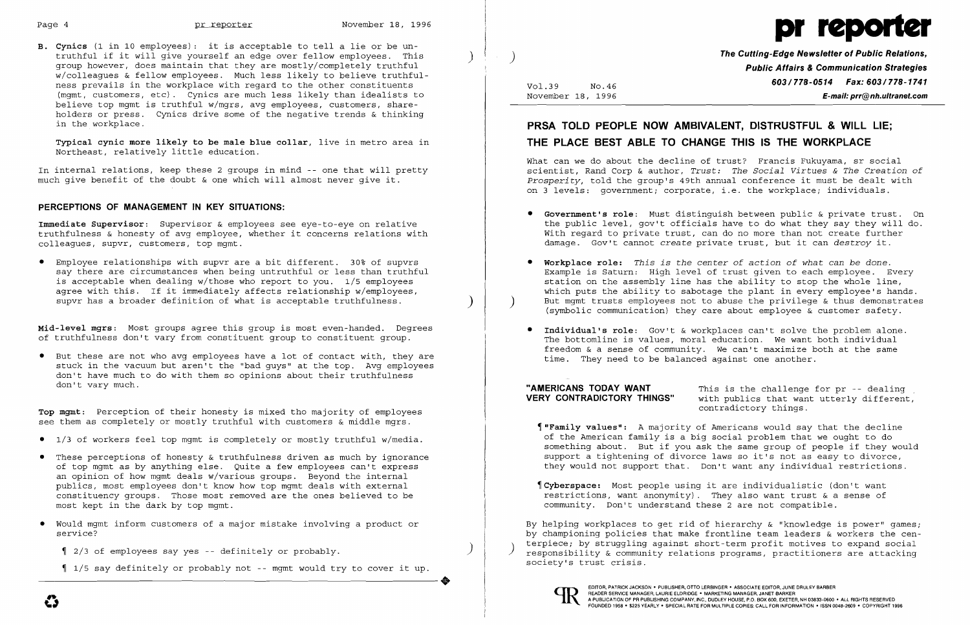

**B. Cynics** (1 in 10 employees): it is acceptable to tell a lie or be untruthful if it will give yourself an edge over fellow employees. This ) group however, does maintain that they are mostly/completely truthful w/colleagues & fellow employees. Much less likely to believe truthfulness prevails in the workplace with regard to the other constituents (mgmt, customers, etc). Cynics are much less likely than idealists to believe top mgmt is truthful w/mgrs, avg employees, customers, shareholders or press. Cynics drive some of the negative trends & thinking in the workplace.

• Employee relationships with supvr are a bit different. 30% of supvrs say there are circumstances when being untruthful or less than truthful is acceptable when dealing w/those who report to you. 1/5 employees agree with this. If it immediately affects relationship w/employees, supvr has a broader definition of what is acceptable truthfulness.

**Typical cynic more likely to be male blue collar,** live in metro area in Northeast, relatively little education.

In internal relations, keep these 2 groups in mind -- one that will pretty much give benefit of the doubt & one which will almost never give it.

#### **PERCEPTIONS OF MANAGEMENT IN KEY SITUATIONS:**

**Immediate Supervisor:** Supervisor & employees see eye-to-eye on relative truthfulness & honesty of avg employee, whether it concerns relations with colleagues, supvr, customers, top mgmt.

1/5 say definitely or probably not -- mgmt would try to cover it up. 1 2/3 of employees say yes -- definitely or probably.<br>1/5 say definitely or probably not -- mgmt would try to cover it up.

**The Cutting-Edge Newsletter of Public Relations,** ) **Public Affairs & Communication Strategies 603/778-0514 Fax: 603/778-1741**<br>November 18, 1996 November 18, 1996 E-mail: prr@nh.ultranet.com

**Mid-level mgrs:** Most groups agree this group is most even-handed. Degrees of truthfulness don't vary from constituent group to constituent group.

• But these are not who avg employees have a lot of contact with, they are stuck in the vacuum but aren't the "bad guys" at the top. Avg employees don't have much to do with them so opinions about their truthfulness don't vary much.

**TOp mgmt:** Perception of their honesty is mixed tho majority of employees see them as completely or mostly truthful with customers & middle mgrs.

**"AMERICANS TODAY WANT** This is the challenge for pr -- dealing<br>**VERY CONTRADICTORY THINGS"** with publics that want utterly different. with publics that want utterly different, contradictory things.

- • 1/3 of workers feel top mgmt is completely or mostly truthful w/media.
- • These perceptions of honesty & truthfulness driven as much by ignorance of top mgmt as by anything else. Quite a few employees can't express an opinion of how mgmt deals w/various groups. Beyond the internal pUblics, most employees don't know how top mgmt deals with external constituency groups. Those most removed are the ones believed to be most kept in the dark by top mgmt.
- • Would mgmt inform customers of a major mistake involving a product or service?

 $\parallel$  2/3 of employees say yes -- definitely or probably.

# **PRSA TOLD PEOPLE NOW AMBIVALENT, DISTRUSTFUL & WILL LIE; THE PLACE BEST ABLE TO CHANGE THIS IS THE WORKPLACE**

What can we do about the decline of trust? Francis Fukuyama, sr social scientist, Rand Corp & author, *Trust: The Social Virtues* & *The Creation* of *Prosperity,* told the group's 49th annual conference it must be dealt with on 3 levels: government; corporate, i.e. the workplace; individuals.

the public level, gov't officials have to do what they say they will do. With regard to private trust, can do no more than not create further

- • **Government's role:** Must distinguish between public & private trust . On damage. Gov't cannot *create* private trust, but it can destroy it.
- **• Workplace role:** *This is the center* of *action* of *what can be done.*
- Individual's role: Gov't & workplaces can't solve the problem alone. time. They need to be balanced against one another.

Example is Saturn: High level of trust given to each employee. Every station on the assembly line has the ability to stop the whole line, which puts the ability to sabotage the plant in every employee's hands. But mgmt trusts employees not to abuse the privilege  $\&$  thus demonstrates (sYmbolic communication) they care about employee & customer safety.

The bottomline is values, moral education. We want both individual freedom & a sense of community. We can't maximize both at the same

of the American family is a big social problem that we ought to do something about. But if you ask the same group of people if they would support a tightening of divorce laws so it's not as easy to divorce, they would not support that. Don't want any individual restrictions.

- ~"Family **values":** A majority of Americans would say that the decline
- ~Cyberspace: Most people using it are individualistic (don't want restrictions, want anonymity). They also want trust & a sense of community. Don't understand these 2 are not compatible.

By helping workplaces to get rid of hierarchy & "knowledge is power" games; by championing policies that make frontline team leaders & workers the centerpiece; by struggling against short-term profit motives to expand social responsibility & community relations programs, practitioners are attacking society's trust crisis.